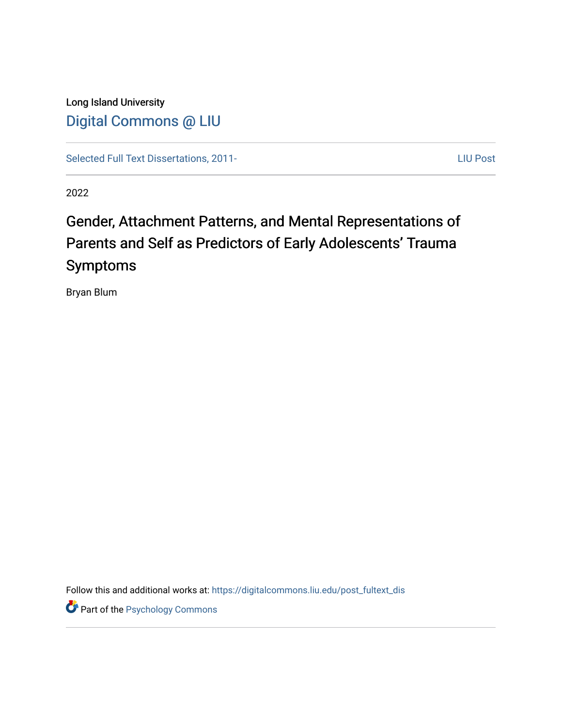Long Island University [Digital Commons @ LIU](https://digitalcommons.liu.edu/)

[Selected Full Text Dissertations, 2011-](https://digitalcommons.liu.edu/post_fultext_dis)<br>
LIU Post

2022

# Gender, Attachment Patterns, and Mental Representations of Parents and Self as Predictors of Early Adolescents' Trauma Symptoms

Bryan Blum

Follow this and additional works at: [https://digitalcommons.liu.edu/post\\_fultext\\_dis](https://digitalcommons.liu.edu/post_fultext_dis?utm_source=digitalcommons.liu.edu%2Fpost_fultext_dis%2F40&utm_medium=PDF&utm_campaign=PDFCoverPages) 

**Part of the Psychology Commons**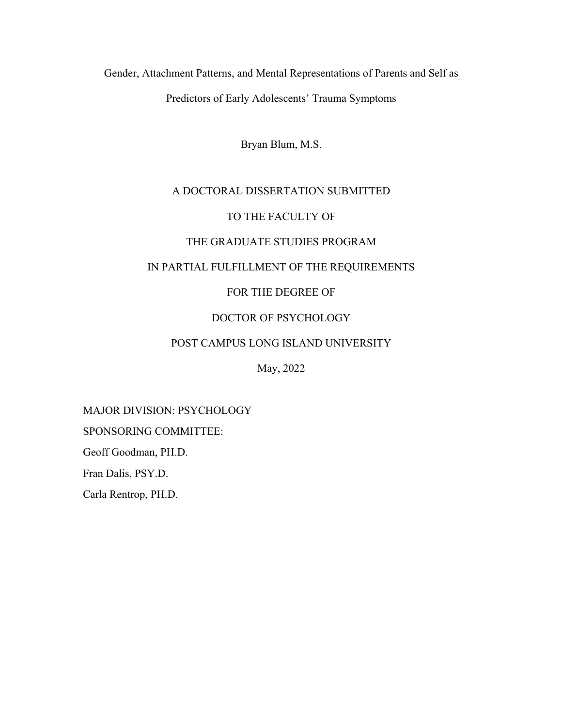Gender, Attachment Patterns, and Mental Representations of Parents and Self as Predictors of Early Adolescents' Trauma Symptoms

Bryan Blum, M.S.

## A DOCTORAL DISSERTATION SUBMITTED

## TO THE FACULTY OF

## THE GRADUATE STUDIES PROGRAM

## IN PARTIAL FULFILLMENT OF THE REQUIREMENTS

## FOR THE DEGREE OF

## DOCTOR OF PSYCHOLOGY

### POST CAMPUS LONG ISLAND UNIVERSITY

May, 2022

## MAJOR DIVISION: PSYCHOLOGY

SPONSORING COMMITTEE:

Geoff Goodman, PH.D.

Fran Dalis, PSY.D.

Carla Rentrop, PH.D.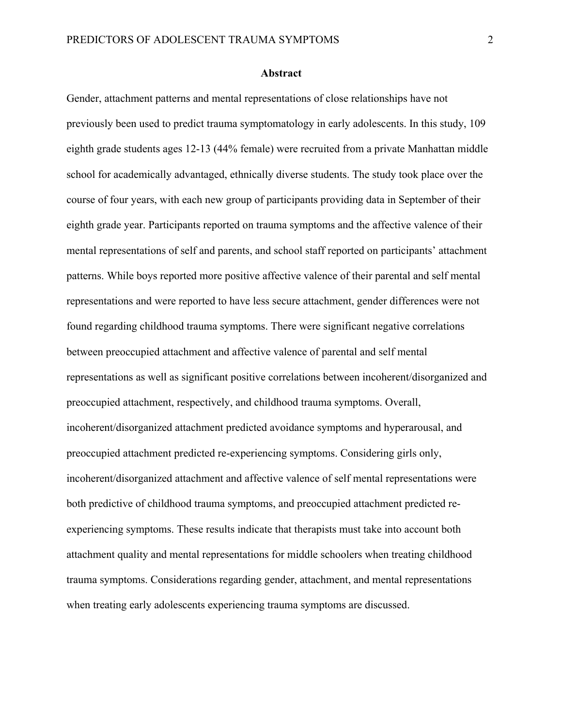#### **Abstract**

Gender, attachment patterns and mental representations of close relationships have not previously been used to predict trauma symptomatology in early adolescents. In this study, 109 eighth grade students ages 12-13 (44% female) were recruited from a private Manhattan middle school for academically advantaged, ethnically diverse students. The study took place over the course of four years, with each new group of participants providing data in September of their eighth grade year. Participants reported on trauma symptoms and the affective valence of their mental representations of self and parents, and school staff reported on participants' attachment patterns. While boys reported more positive affective valence of their parental and self mental representations and were reported to have less secure attachment, gender differences were not found regarding childhood trauma symptoms. There were significant negative correlations between preoccupied attachment and affective valence of parental and self mental representations as well as significant positive correlations between incoherent/disorganized and preoccupied attachment, respectively, and childhood trauma symptoms. Overall, incoherent/disorganized attachment predicted avoidance symptoms and hyperarousal, and preoccupied attachment predicted re-experiencing symptoms. Considering girls only, incoherent/disorganized attachment and affective valence of self mental representations were both predictive of childhood trauma symptoms, and preoccupied attachment predicted reexperiencing symptoms. These results indicate that therapists must take into account both attachment quality and mental representations for middle schoolers when treating childhood trauma symptoms. Considerations regarding gender, attachment, and mental representations when treating early adolescents experiencing trauma symptoms are discussed.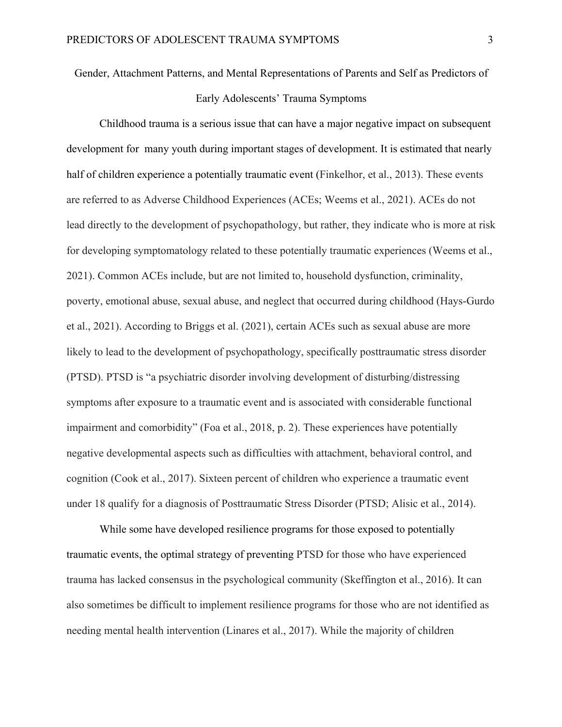Gender, Attachment Patterns, and Mental Representations of Parents and Self as Predictors of Early Adolescents' Trauma Symptoms

Childhood trauma is a serious issue that can have a major negative impact on subsequent development for many youth during important stages of development. It is estimated that nearly half of children experience a potentially traumatic event (Finkelhor, et al., 2013). These events are referred to as Adverse Childhood Experiences (ACEs; Weems et al., 2021). ACEs do not lead directly to the development of psychopathology, but rather, they indicate who is more at risk for developing symptomatology related to these potentially traumatic experiences (Weems et al., 2021). Common ACEs include, but are not limited to, household dysfunction, criminality, poverty, emotional abuse, sexual abuse, and neglect that occurred during childhood (Hays-Gurdo et al., 2021). According to Briggs et al. (2021), certain ACEs such as sexual abuse are more likely to lead to the development of psychopathology, specifically posttraumatic stress disorder (PTSD). PTSD is "a psychiatric disorder involving development of disturbing/distressing symptoms after exposure to a traumatic event and is associated with considerable functional impairment and comorbidity" (Foa et al., 2018, p. 2). These experiences have potentially negative developmental aspects such as difficulties with attachment, behavioral control, and cognition (Cook et al., 2017). Sixteen percent of children who experience a traumatic event under 18 qualify for a diagnosis of Posttraumatic Stress Disorder (PTSD; Alisic et al., 2014).

While some have developed resilience programs for those exposed to potentially traumatic events, the optimal strategy of preventing PTSD for those who have experienced trauma has lacked consensus in the psychological community (Skeffington et al., 2016). It can also sometimes be difficult to implement resilience programs for those who are not identified as needing mental health intervention (Linares et al., 2017). While the majority of children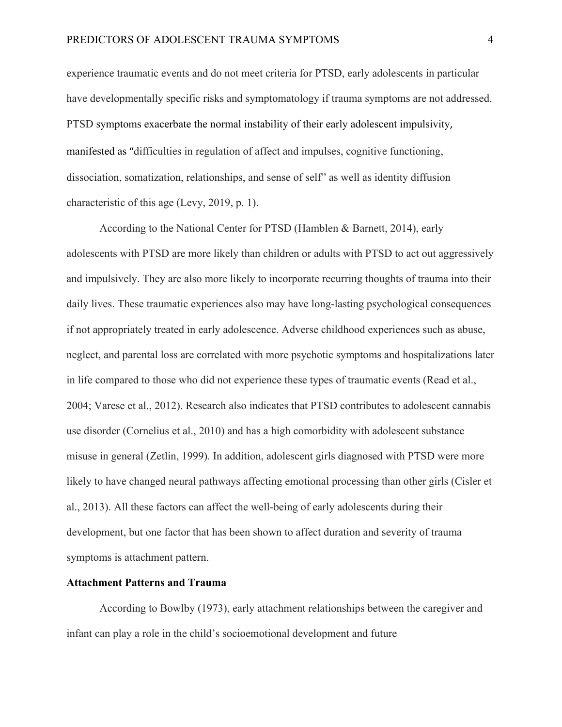experience traumatic events and do not meet criteria for PTSD, early adolescents in particular have developmentally specific risks and symptomatology if trauma symptoms are not addressed. PTSD symptoms exacerbate the normal instability of their early adolescent impulsivity, manifested as "difficulties in regulation of affect and impulses, cognitive functioning, dissociation, somatization, relationships, and sense of self" as well as identity diffusion characteristic of this age (Levy, 2019, p. 1).

According to the National Center for PTSD (Hamblen & Barnett, 2014), early adolescents with PTSD are more likely than children or adults with PTSD to act out aggressively and impulsively. They are also more likely to incorporate recurring thoughts of trauma into their daily lives. These traumatic experiences also may have long-lasting psychological consequences if not appropriately treated in early adolescence. Adverse childhood experiences such as abuse, neglect, and parental loss are correlated with more psychotic symptoms and hospitalizations later in life compared to those who did not experience these types of traumatic events (Read et al., 2004; Varese et al., 2012). Research also indicates that PTSD contributes to adolescent cannabis use disorder (Cornelius et al., 2010) and has a high comorbidity with adolescent substance misuse in general (Zetlin, 1999). In addition, adolescent girls diagnosed with PTSD were more likely to have changed neural pathways affecting emotional processing than other girls (Cisler et al., 2013). All these factors can affect the well-being of early adolescents during their development, but one factor that has been shown to affect duration and severity of trauma symptoms is attachment pattern.

## **Attachment Patterns and Trauma**

According to Bowlby (1973), early attachment relationships between the caregiver and infant can play a role in the child's socioemotional development and future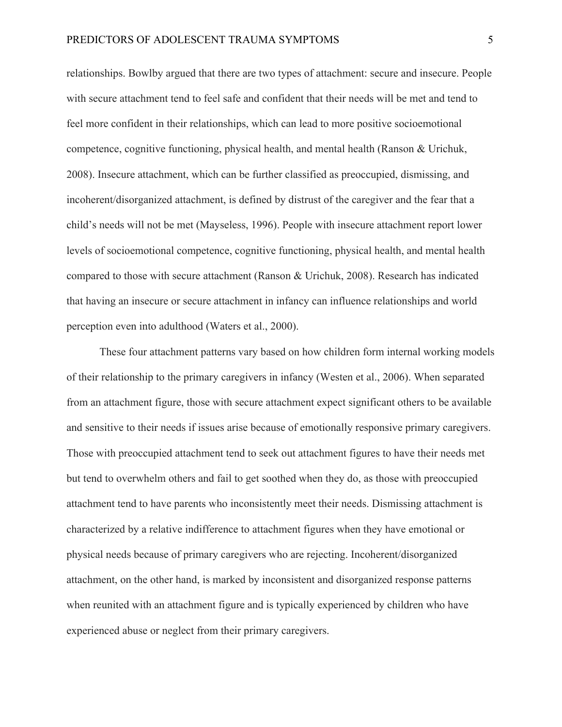relationships. Bowlby argued that there are two types of attachment: secure and insecure. People with secure attachment tend to feel safe and confident that their needs will be met and tend to feel more confident in their relationships, which can lead to more positive socioemotional competence, cognitive functioning, physical health, and mental health (Ranson & Urichuk, 2008). Insecure attachment, which can be further classified as preoccupied, dismissing, and incoherent/disorganized attachment, is defined by distrust of the caregiver and the fear that a child's needs will not be met (Mayseless, 1996). People with insecure attachment report lower levels of socioemotional competence, cognitive functioning, physical health, and mental health compared to those with secure attachment (Ranson & Urichuk, 2008). Research has indicated that having an insecure or secure attachment in infancy can influence relationships and world perception even into adulthood (Waters et al., 2000).

These four attachment patterns vary based on how children form internal working models of their relationship to the primary caregivers in infancy (Westen et al., 2006). When separated from an attachment figure, those with secure attachment expect significant others to be available and sensitive to their needs if issues arise because of emotionally responsive primary caregivers. Those with preoccupied attachment tend to seek out attachment figures to have their needs met but tend to overwhelm others and fail to get soothed when they do, as those with preoccupied attachment tend to have parents who inconsistently meet their needs. Dismissing attachment is characterized by a relative indifference to attachment figures when they have emotional or physical needs because of primary caregivers who are rejecting. Incoherent/disorganized attachment, on the other hand, is marked by inconsistent and disorganized response patterns when reunited with an attachment figure and is typically experienced by children who have experienced abuse or neglect from their primary caregivers.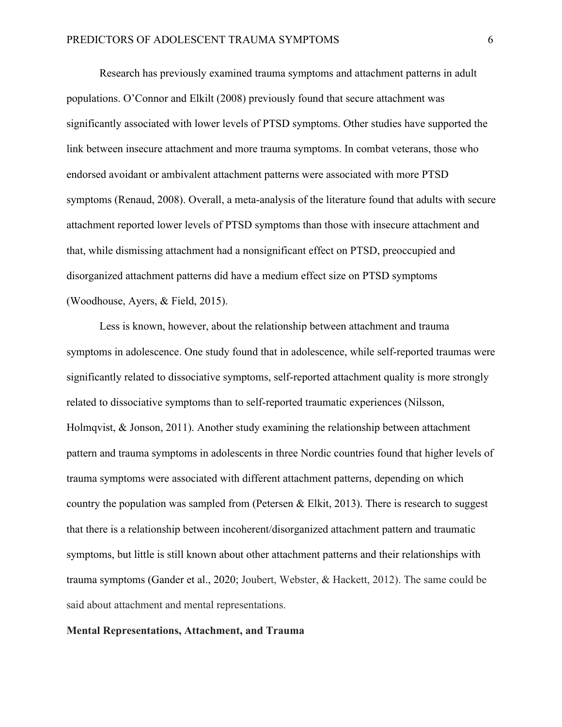Research has previously examined trauma symptoms and attachment patterns in adult populations. O'Connor and Elkilt (2008) previously found that secure attachment was significantly associated with lower levels of PTSD symptoms. Other studies have supported the link between insecure attachment and more trauma symptoms. In combat veterans, those who endorsed avoidant or ambivalent attachment patterns were associated with more PTSD symptoms (Renaud, 2008). Overall, a meta-analysis of the literature found that adults with secure attachment reported lower levels of PTSD symptoms than those with insecure attachment and that, while dismissing attachment had a nonsignificant effect on PTSD, preoccupied and disorganized attachment patterns did have a medium effect size on PTSD symptoms (Woodhouse, Ayers, & Field, 2015).

Less is known, however, about the relationship between attachment and trauma symptoms in adolescence. One study found that in adolescence, while self-reported traumas were significantly related to dissociative symptoms, self-reported attachment quality is more strongly related to dissociative symptoms than to self-reported traumatic experiences (Nilsson, Holmqvist, & Jonson, 2011). Another study examining the relationship between attachment pattern and trauma symptoms in adolescents in three Nordic countries found that higher levels of trauma symptoms were associated with different attachment patterns, depending on which country the population was sampled from (Petersen  $\&$  Elkit, 2013). There is research to suggest that there is a relationship between incoherent/disorganized attachment pattern and traumatic symptoms, but little is still known about other attachment patterns and their relationships with trauma symptoms (Gander et al., 2020; Joubert, Webster, & Hackett, 2012). The same could be said about attachment and mental representations.

## **Mental Representations, Attachment, and Trauma**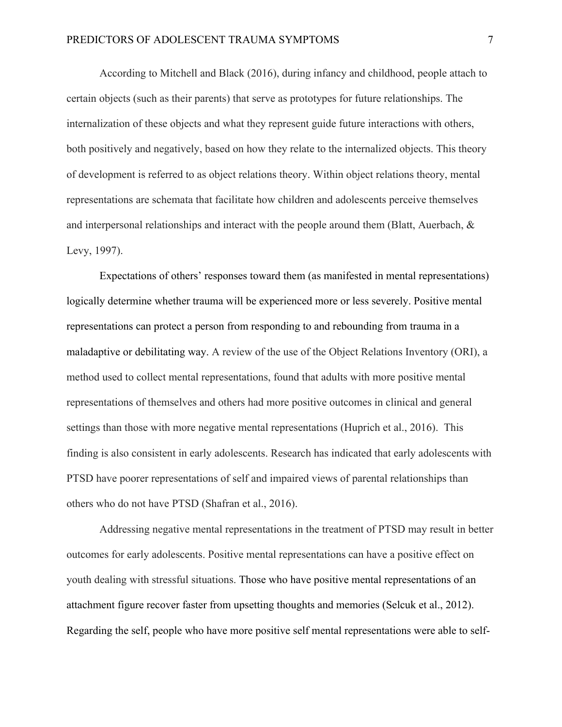According to Mitchell and Black (2016), during infancy and childhood, people attach to certain objects (such as their parents) that serve as prototypes for future relationships. The internalization of these objects and what they represent guide future interactions with others, both positively and negatively, based on how they relate to the internalized objects. This theory of development is referred to as object relations theory. Within object relations theory, mental representations are schemata that facilitate how children and adolescents perceive themselves and interpersonal relationships and interact with the people around them (Blatt, Auerbach,  $\&$ Levy, 1997).

Expectations of others' responses toward them (as manifested in mental representations) logically determine whether trauma will be experienced more or less severely. Positive mental representations can protect a person from responding to and rebounding from trauma in a maladaptive or debilitating way. A review of the use of the Object Relations Inventory (ORI), a method used to collect mental representations, found that adults with more positive mental representations of themselves and others had more positive outcomes in clinical and general settings than those with more negative mental representations (Huprich et al., 2016). This finding is also consistent in early adolescents. Research has indicated that early adolescents with PTSD have poorer representations of self and impaired views of parental relationships than others who do not have PTSD (Shafran et al., 2016).

Addressing negative mental representations in the treatment of PTSD may result in better outcomes for early adolescents. Positive mental representations can have a positive effect on youth dealing with stressful situations. Those who have positive mental representations of an attachment figure recover faster from upsetting thoughts and memories (Selcuk et al., 2012). Regarding the self, people who have more positive self mental representations were able to self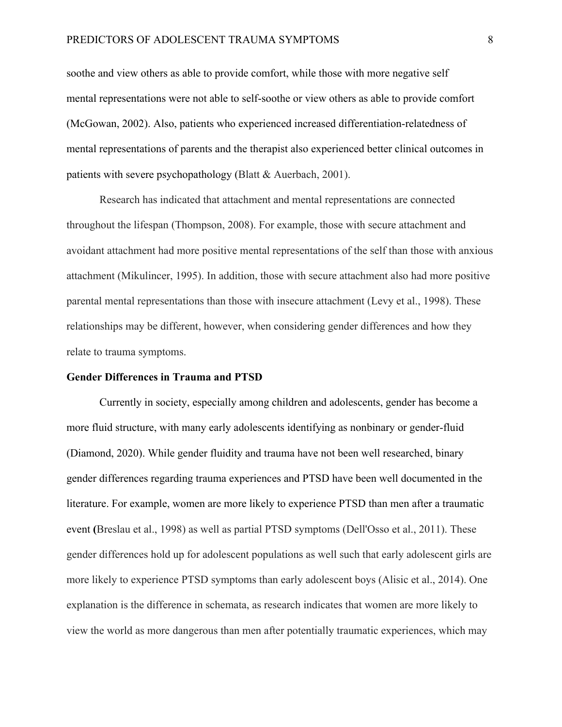soothe and view others as able to provide comfort, while those with more negative self mental representations were not able to self-soothe or view others as able to provide comfort (McGowan, 2002). Also, patients who experienced increased differentiation-relatedness of mental representations of parents and the therapist also experienced better clinical outcomes in patients with severe psychopathology (Blatt & Auerbach, 2001).

Research has indicated that attachment and mental representations are connected throughout the lifespan (Thompson, 2008). For example, those with secure attachment and avoidant attachment had more positive mental representations of the self than those with anxious attachment (Mikulincer, 1995). In addition, those with secure attachment also had more positive parental mental representations than those with insecure attachment (Levy et al., 1998). These relationships may be different, however, when considering gender differences and how they relate to trauma symptoms.

#### **Gender Differences in Trauma and PTSD**

Currently in society, especially among children and adolescents, gender has become a more fluid structure, with many early adolescents identifying as nonbinary or gender-fluid (Diamond, 2020). While gender fluidity and trauma have not been well researched, binary gender differences regarding trauma experiences and PTSD have been well documented in the literature. For example, women are more likely to experience PTSD than men after a traumatic event **(**Breslau et al., 1998) as well as partial PTSD symptoms (Dell'Osso et al., 2011). These gender differences hold up for adolescent populations as well such that early adolescent girls are more likely to experience PTSD symptoms than early adolescent boys (Alisic et al., 2014). One explanation is the difference in schemata, as research indicates that women are more likely to view the world as more dangerous than men after potentially traumatic experiences, which may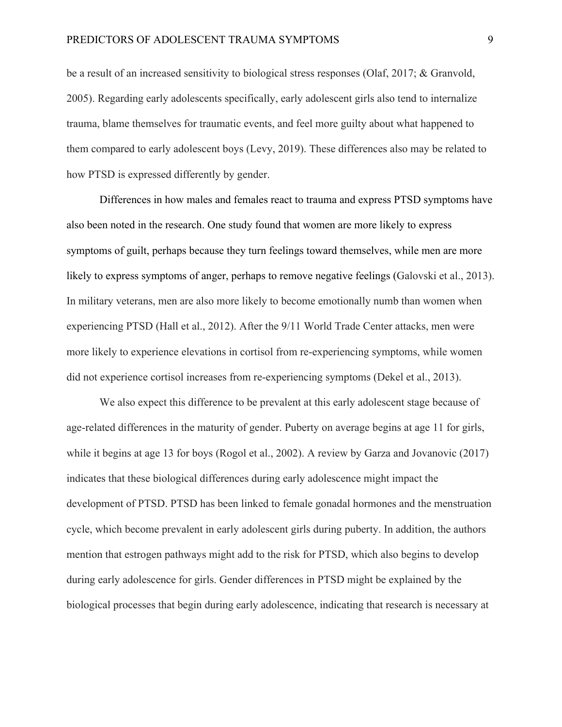be a result of an increased sensitivity to biological stress responses (Olaf, 2017; & Granvold, 2005). Regarding early adolescents specifically, early adolescent girls also tend to internalize trauma, blame themselves for traumatic events, and feel more guilty about what happened to them compared to early adolescent boys (Levy, 2019). These differences also may be related to how PTSD is expressed differently by gender.

Differences in how males and females react to trauma and express PTSD symptoms have also been noted in the research. One study found that women are more likely to express symptoms of guilt, perhaps because they turn feelings toward themselves, while men are more likely to express symptoms of anger, perhaps to remove negative feelings (Galovski et al., 2013). In military veterans, men are also more likely to become emotionally numb than women when experiencing PTSD (Hall et al., 2012). After the 9/11 World Trade Center attacks, men were more likely to experience elevations in cortisol from re-experiencing symptoms, while women did not experience cortisol increases from re-experiencing symptoms (Dekel et al., 2013).

We also expect this difference to be prevalent at this early adolescent stage because of age-related differences in the maturity of gender. Puberty on average begins at age 11 for girls, while it begins at age 13 for boys (Rogol et al., 2002). A review by Garza and Jovanovic (2017) indicates that these biological differences during early adolescence might impact the development of PTSD. PTSD has been linked to female gonadal hormones and the menstruation cycle, which become prevalent in early adolescent girls during puberty. In addition, the authors mention that estrogen pathways might add to the risk for PTSD, which also begins to develop during early adolescence for girls. Gender differences in PTSD might be explained by the biological processes that begin during early adolescence, indicating that research is necessary at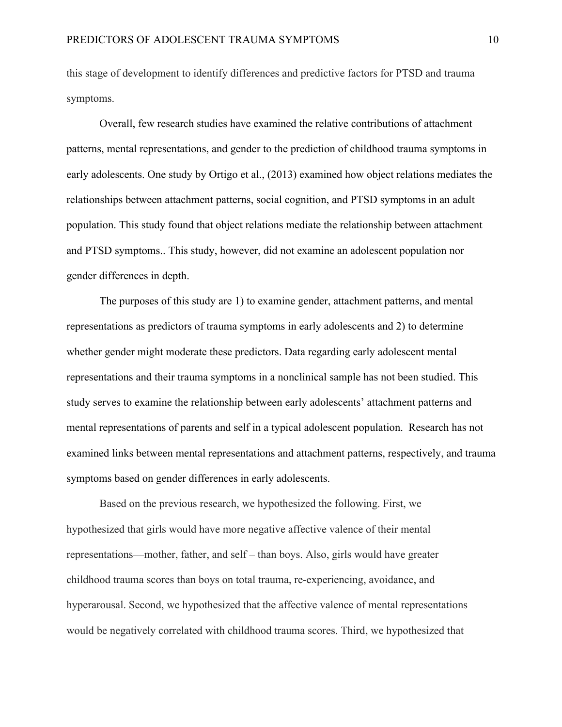this stage of development to identify differences and predictive factors for PTSD and trauma symptoms.

Overall, few research studies have examined the relative contributions of attachment patterns, mental representations, and gender to the prediction of childhood trauma symptoms in early adolescents. One study by Ortigo et al., (2013) examined how object relations mediates the relationships between attachment patterns, social cognition, and PTSD symptoms in an adult population. This study found that object relations mediate the relationship between attachment and PTSD symptoms.. This study, however, did not examine an adolescent population nor gender differences in depth.

The purposes of this study are 1) to examine gender, attachment patterns, and mental representations as predictors of trauma symptoms in early adolescents and 2) to determine whether gender might moderate these predictors. Data regarding early adolescent mental representations and their trauma symptoms in a nonclinical sample has not been studied. This study serves to examine the relationship between early adolescents' attachment patterns and mental representations of parents and self in a typical adolescent population. Research has not examined links between mental representations and attachment patterns, respectively, and trauma symptoms based on gender differences in early adolescents.

Based on the previous research, we hypothesized the following. First, we hypothesized that girls would have more negative affective valence of their mental representations—mother, father, and self – than boys. Also, girls would have greater childhood trauma scores than boys on total trauma, re-experiencing, avoidance, and hyperarousal. Second, we hypothesized that the affective valence of mental representations would be negatively correlated with childhood trauma scores. Third, we hypothesized that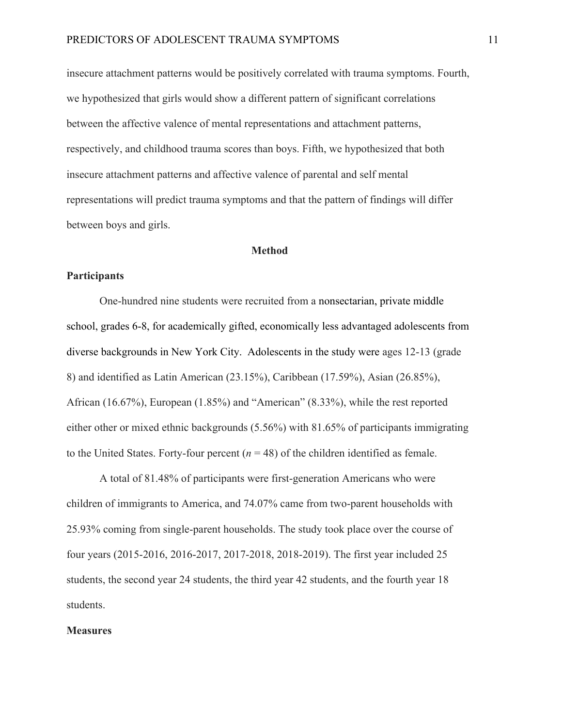insecure attachment patterns would be positively correlated with trauma symptoms. Fourth, we hypothesized that girls would show a different pattern of significant correlations between the affective valence of mental representations and attachment patterns, respectively, and childhood trauma scores than boys. Fifth, we hypothesized that both insecure attachment patterns and affective valence of parental and self mental representations will predict trauma symptoms and that the pattern of findings will differ between boys and girls.

#### **Method**

#### **Participants**

One-hundred nine students were recruited from a nonsectarian, private middle school, grades 6-8, for academically gifted, economically less advantaged adolescents from diverse backgrounds in New York City. Adolescents in the study were ages 12-13 (grade 8) and identified as Latin American (23.15%), Caribbean (17.59%), Asian (26.85%), African (16.67%), European (1.85%) and "American" (8.33%), while the rest reported either other or mixed ethnic backgrounds (5.56%) with 81.65% of participants immigrating to the United States. Forty-four percent  $(n = 48)$  of the children identified as female.

A total of 81.48% of participants were first-generation Americans who were children of immigrants to America, and 74.07% came from two-parent households with 25.93% coming from single-parent households. The study took place over the course of four years (2015-2016, 2016-2017, 2017-2018, 2018-2019). The first year included 25 students, the second year 24 students, the third year 42 students, and the fourth year 18 students.

#### **Measures**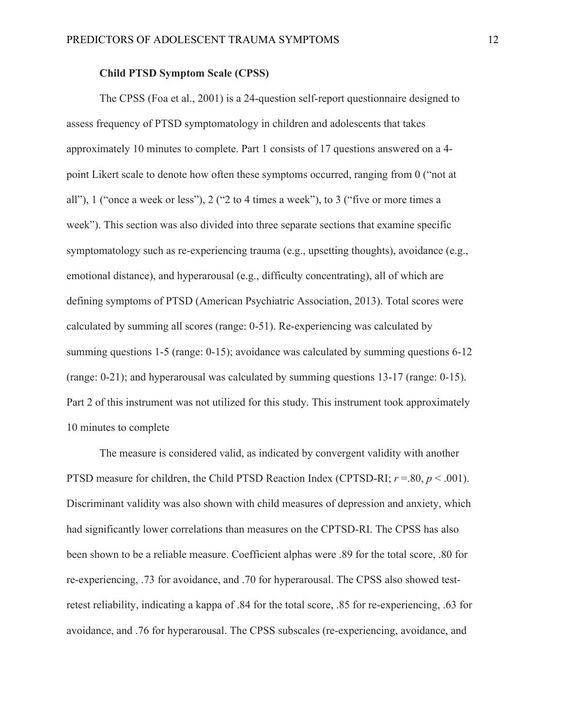#### **Child PTSD Symptom Scale (CPSS)**

The CPSS (Foa et al., 2001) is a 24-question self-report questionnaire designed to assess frequency of PTSD symptomatology in children and adolescents that takes approximately 10 minutes to complete. Part 1 consists of 17 questions answered on a 4 point Likert scale to denote how often these symptoms occurred, ranging from 0 ("not at all"), 1 ("once a week or less"), 2 ("2 to 4 times a week"), to 3 ("five or more times a week"). This section was also divided into three separate sections that examine specific symptomatology such as re-experiencing trauma (e.g., upsetting thoughts), avoidance (e.g., emotional distance), and hyperarousal (e.g., difficulty concentrating), all of which are defining symptoms of PTSD (American Psychiatric Association, 2013). Total scores were calculated by summing all scores (range: 0-51). Re-experiencing was calculated by summing questions 1-5 (range: 0-15); avoidance was calculated by summing questions 6-12 (range: 0-21); and hyperarousal was calculated by summing questions 13-17 (range: 0-15). Part 2 of this instrument was not utilized for this study. This instrument took approximately 10 minutes to complete

The measure is considered valid, as indicated by convergent validity with another PTSD measure for children, the Child PTSD Reaction Index (CPTSD-RI; *r* =.80, *p* < .001). Discriminant validity was also shown with child measures of depression and anxiety, which had significantly lower correlations than measures on the CPTSD-RI. The CPSS has also been shown to be a reliable measure. Coefficient alphas were .89 for the total score, .80 for re-experiencing, .73 for avoidance, and .70 for hyperarousal. The CPSS also showed testretest reliability, indicating a kappa of .84 for the total score, .85 for re-experiencing, .63 for avoidance, and .76 for hyperarousal. The CPSS subscales (re-experiencing, avoidance, and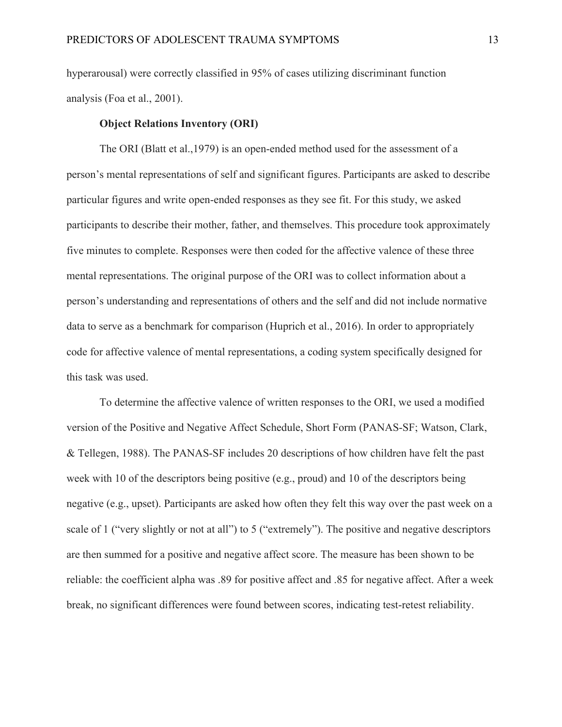hyperarousal) were correctly classified in 95% of cases utilizing discriminant function analysis (Foa et al., 2001).

#### **Object Relations Inventory (ORI)**

The ORI (Blatt et al.,1979) is an open-ended method used for the assessment of a person's mental representations of self and significant figures. Participants are asked to describe particular figures and write open-ended responses as they see fit. For this study, we asked participants to describe their mother, father, and themselves. This procedure took approximately five minutes to complete. Responses were then coded for the affective valence of these three mental representations. The original purpose of the ORI was to collect information about a person's understanding and representations of others and the self and did not include normative data to serve as a benchmark for comparison (Huprich et al., 2016). In order to appropriately code for affective valence of mental representations, a coding system specifically designed for this task was used.

To determine the affective valence of written responses to the ORI, we used a modified version of the Positive and Negative Affect Schedule, Short Form (PANAS-SF; Watson, Clark, & Tellegen, 1988). The PANAS-SF includes 20 descriptions of how children have felt the past week with 10 of the descriptors being positive (e.g., proud) and 10 of the descriptors being negative (e.g., upset). Participants are asked how often they felt this way over the past week on a scale of 1 ("very slightly or not at all") to 5 ("extremely"). The positive and negative descriptors are then summed for a positive and negative affect score. The measure has been shown to be reliable: the coefficient alpha was .89 for positive affect and .85 for negative affect. After a week break, no significant differences were found between scores, indicating test-retest reliability.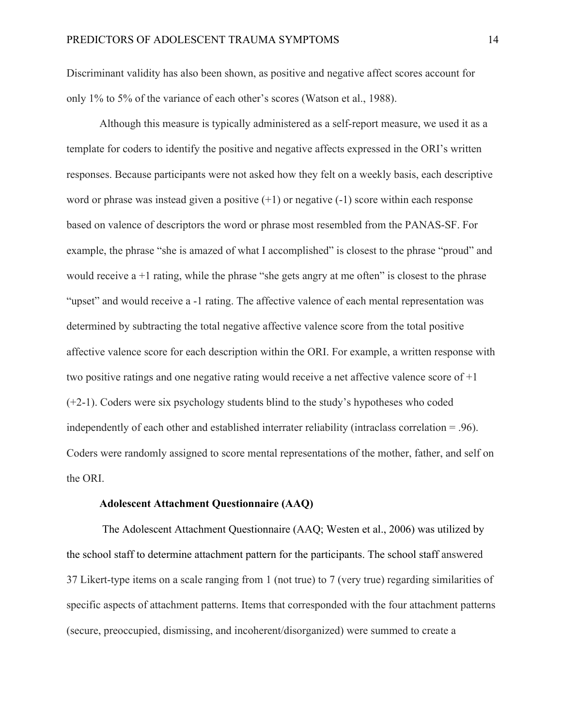Discriminant validity has also been shown, as positive and negative affect scores account for only 1% to 5% of the variance of each other's scores (Watson et al., 1988).

Although this measure is typically administered as a self-report measure, we used it as a template for coders to identify the positive and negative affects expressed in the ORI's written responses. Because participants were not asked how they felt on a weekly basis, each descriptive word or phrase was instead given a positive  $(+1)$  or negative  $(-1)$  score within each response based on valence of descriptors the word or phrase most resembled from the PANAS-SF. For example, the phrase "she is amazed of what I accomplished" is closest to the phrase "proud" and would receive a +1 rating, while the phrase "she gets angry at me often" is closest to the phrase "upset" and would receive a -1 rating. The affective valence of each mental representation was determined by subtracting the total negative affective valence score from the total positive affective valence score for each description within the ORI. For example, a written response with two positive ratings and one negative rating would receive a net affective valence score of +1 (+2-1). Coders were six psychology students blind to the study's hypotheses who coded independently of each other and established interrater reliability (intraclass correlation = .96). Coders were randomly assigned to score mental representations of the mother, father, and self on the ORI.

### **Adolescent Attachment Questionnaire (AAQ)**

The Adolescent Attachment Questionnaire (AAQ; Westen et al., 2006) was utilized by the school staff to determine attachment pattern for the participants. The school staff answered 37 Likert-type items on a scale ranging from 1 (not true) to 7 (very true) regarding similarities of specific aspects of attachment patterns. Items that corresponded with the four attachment patterns (secure, preoccupied, dismissing, and incoherent/disorganized) were summed to create a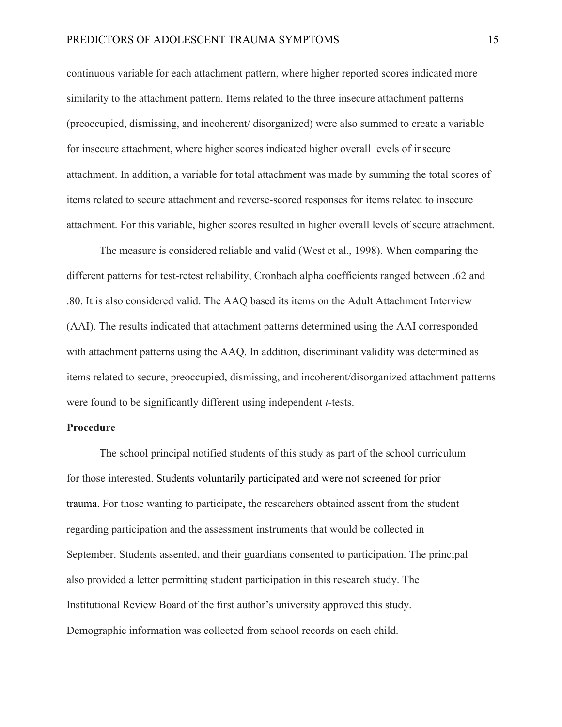continuous variable for each attachment pattern, where higher reported scores indicated more similarity to the attachment pattern. Items related to the three insecure attachment patterns (preoccupied, dismissing, and incoherent/ disorganized) were also summed to create a variable for insecure attachment, where higher scores indicated higher overall levels of insecure attachment. In addition, a variable for total attachment was made by summing the total scores of items related to secure attachment and reverse-scored responses for items related to insecure attachment. For this variable, higher scores resulted in higher overall levels of secure attachment.

The measure is considered reliable and valid (West et al., 1998). When comparing the different patterns for test-retest reliability, Cronbach alpha coefficients ranged between .62 and .80. It is also considered valid. The AAQ based its items on the Adult Attachment Interview (AAI). The results indicated that attachment patterns determined using the AAI corresponded with attachment patterns using the AAQ. In addition, discriminant validity was determined as items related to secure, preoccupied, dismissing, and incoherent/disorganized attachment patterns were found to be significantly different using independent *t*-tests.

#### **Procedure**

The school principal notified students of this study as part of the school curriculum for those interested. Students voluntarily participated and were not screened for prior trauma. For those wanting to participate, the researchers obtained assent from the student regarding participation and the assessment instruments that would be collected in September. Students assented, and their guardians consented to participation. The principal also provided a letter permitting student participation in this research study. The Institutional Review Board of the first author's university approved this study. Demographic information was collected from school records on each child.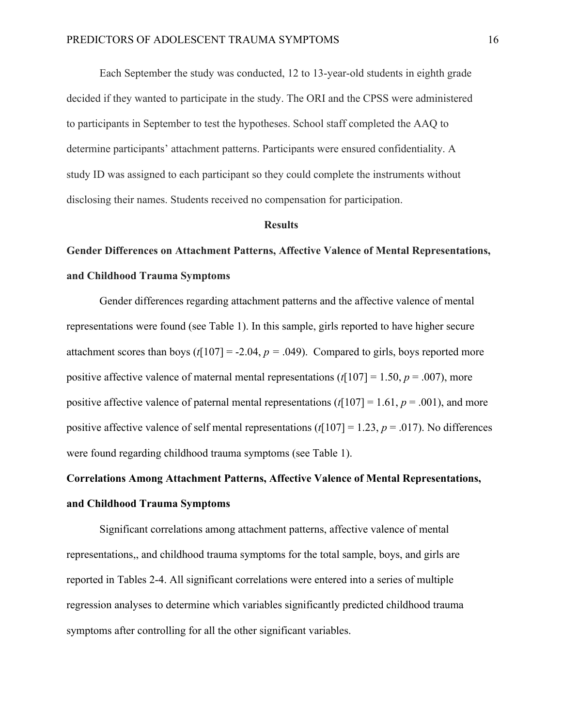Each September the study was conducted, 12 to 13-year-old students in eighth grade decided if they wanted to participate in the study. The ORI and the CPSS were administered to participants in September to test the hypotheses. School staff completed the AAQ to determine participants' attachment patterns. Participants were ensured confidentiality. A study ID was assigned to each participant so they could complete the instruments without disclosing their names. Students received no compensation for participation.

#### **Results**

## **Gender Differences on Attachment Patterns, Affective Valence of Mental Representations, and Childhood Trauma Symptoms**

Gender differences regarding attachment patterns and the affective valence of mental representations were found (see Table 1). In this sample, girls reported to have higher secure attachment scores than boys  $(t[107] = -2.04, p = .049)$ . Compared to girls, boys reported more positive affective valence of maternal mental representations  $(t[107] = 1.50, p = .007)$ , more positive affective valence of paternal mental representations  $(t[107] = 1.61, p = .001)$ , and more positive affective valence of self mental representations (*t*[107] = 1.23, *p* = .017). No differences were found regarding childhood trauma symptoms (see Table 1).

## **Correlations Among Attachment Patterns, Affective Valence of Mental Representations, and Childhood Trauma Symptoms**

Significant correlations among attachment patterns, affective valence of mental representations,, and childhood trauma symptoms for the total sample, boys, and girls are reported in Tables 2-4. All significant correlations were entered into a series of multiple regression analyses to determine which variables significantly predicted childhood trauma symptoms after controlling for all the other significant variables.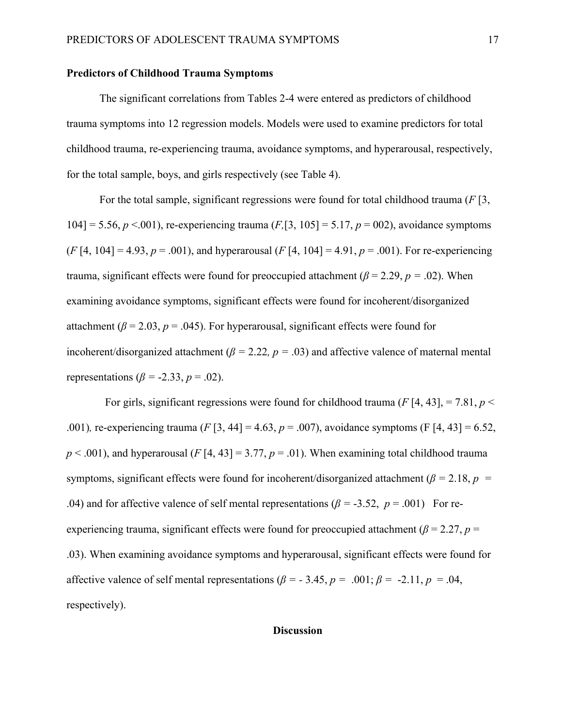#### **Predictors of Childhood Trauma Symptoms**

The significant correlations from Tables 2-4 were entered as predictors of childhood trauma symptoms into 12 regression models. Models were used to examine predictors for total childhood trauma, re-experiencing trauma, avoidance symptoms, and hyperarousal, respectively, for the total sample, boys, and girls respectively (see Table 4).

For the total sample, significant regressions were found for total childhood trauma (*F* [3, 104] = 5.56, *p* <.001), re-experiencing trauma (*F,*[3, 105] = 5.17, *p* = 002), avoidance symptoms  $(F[4, 104] = 4.93, p = .001)$ , and hyperarousal  $(F[4, 104] = 4.91, p = .001)$ . For re-experiencing trauma, significant effects were found for preoccupied attachment ( $\beta$  = 2.29,  $p$  = .02). When examining avoidance symptoms, significant effects were found for incoherent/disorganized attachment ( $\beta$  = 2.03,  $p$  = .045). For hyperarousal, significant effects were found for incoherent/disorganized attachment ( $\beta$  = 2.22*, p* = .03) and affective valence of maternal mental representations ( $\beta$  = -2.33,  $p$  = .02).

For girls, significant regressions were found for childhood trauma ( $F$  [4, 43], = 7.81,  $p$  < .001)*,* re-experiencing trauma (*F* [3, 44] = 4.63, *p* = .007), avoidance symptoms (F [4, 43] = 6.52,  $p < .001$ ), and hyperarousal (*F* [4, 43] = 3.77,  $p = .01$ ). When examining total childhood trauma symptoms, significant effects were found for incoherent/disorganized attachment ( $\beta$  = 2.18,  $p$  = .04) and for affective valence of self mental representations ( $\beta$  = -3.52,  $p$  = .001) For reexperiencing trauma, significant effects were found for preoccupied attachment ( $\beta$  = 2.27, *p* = .03). When examining avoidance symptoms and hyperarousal, significant effects were found for affective valence of self mental representations ( $\beta$  = -3.45,  $p$  = .001;  $\beta$  = -2.11,  $p$  = .04, respectively).

#### **Discussion**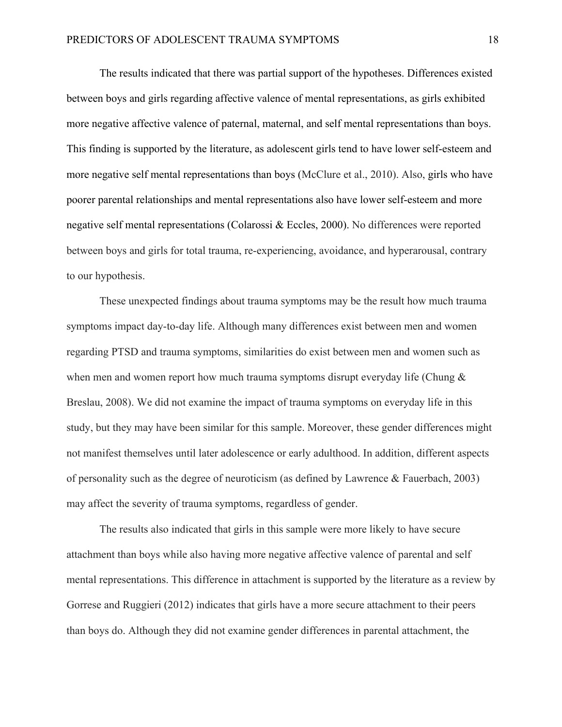The results indicated that there was partial support of the hypotheses. Differences existed between boys and girls regarding affective valence of mental representations, as girls exhibited more negative affective valence of paternal, maternal, and self mental representations than boys. This finding is supported by the literature, as adolescent girls tend to have lower self-esteem and more negative self mental representations than boys (McClure et al., 2010). Also, girls who have poorer parental relationships and mental representations also have lower self-esteem and more negative self mental representations (Colarossi & Eccles, 2000). No differences were reported between boys and girls for total trauma, re-experiencing, avoidance, and hyperarousal, contrary to our hypothesis.

These unexpected findings about trauma symptoms may be the result how much trauma symptoms impact day-to-day life. Although many differences exist between men and women regarding PTSD and trauma symptoms, similarities do exist between men and women such as when men and women report how much trauma symptoms disrupt everyday life (Chung  $\&$ Breslau, 2008). We did not examine the impact of trauma symptoms on everyday life in this study, but they may have been similar for this sample. Moreover, these gender differences might not manifest themselves until later adolescence or early adulthood. In addition, different aspects of personality such as the degree of neuroticism (as defined by Lawrence & Fauerbach, 2003) may affect the severity of trauma symptoms, regardless of gender.

The results also indicated that girls in this sample were more likely to have secure attachment than boys while also having more negative affective valence of parental and self mental representations. This difference in attachment is supported by the literature as a review by Gorrese and Ruggieri (2012) indicates that girls have a more secure attachment to their peers than boys do. Although they did not examine gender differences in parental attachment, the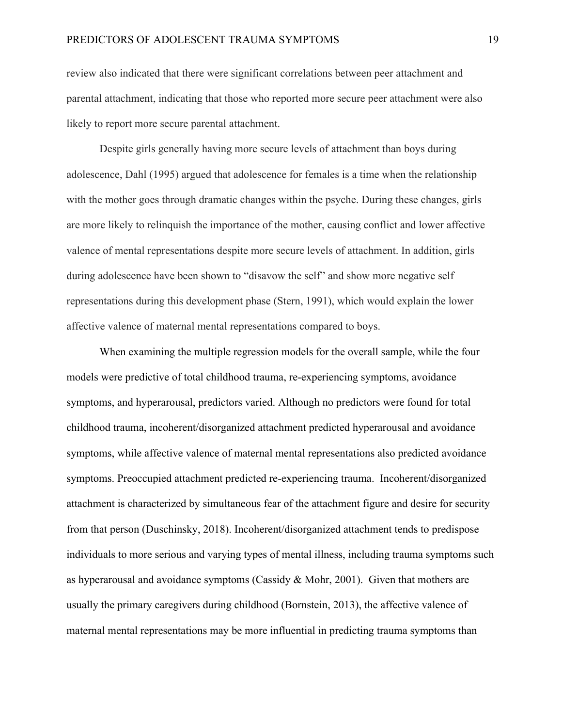review also indicated that there were significant correlations between peer attachment and parental attachment, indicating that those who reported more secure peer attachment were also likely to report more secure parental attachment.

Despite girls generally having more secure levels of attachment than boys during adolescence, Dahl (1995) argued that adolescence for females is a time when the relationship with the mother goes through dramatic changes within the psyche. During these changes, girls are more likely to relinquish the importance of the mother, causing conflict and lower affective valence of mental representations despite more secure levels of attachment. In addition, girls during adolescence have been shown to "disavow the self" and show more negative self representations during this development phase (Stern, 1991), which would explain the lower affective valence of maternal mental representations compared to boys.

When examining the multiple regression models for the overall sample, while the four models were predictive of total childhood trauma, re-experiencing symptoms, avoidance symptoms, and hyperarousal, predictors varied. Although no predictors were found for total childhood trauma, incoherent/disorganized attachment predicted hyperarousal and avoidance symptoms, while affective valence of maternal mental representations also predicted avoidance symptoms. Preoccupied attachment predicted re-experiencing trauma. Incoherent/disorganized attachment is characterized by simultaneous fear of the attachment figure and desire for security from that person (Duschinsky, 2018). Incoherent/disorganized attachment tends to predispose individuals to more serious and varying types of mental illness, including trauma symptoms such as hyperarousal and avoidance symptoms (Cassidy & Mohr, 2001). Given that mothers are usually the primary caregivers during childhood (Bornstein, 2013), the affective valence of maternal mental representations may be more influential in predicting trauma symptoms than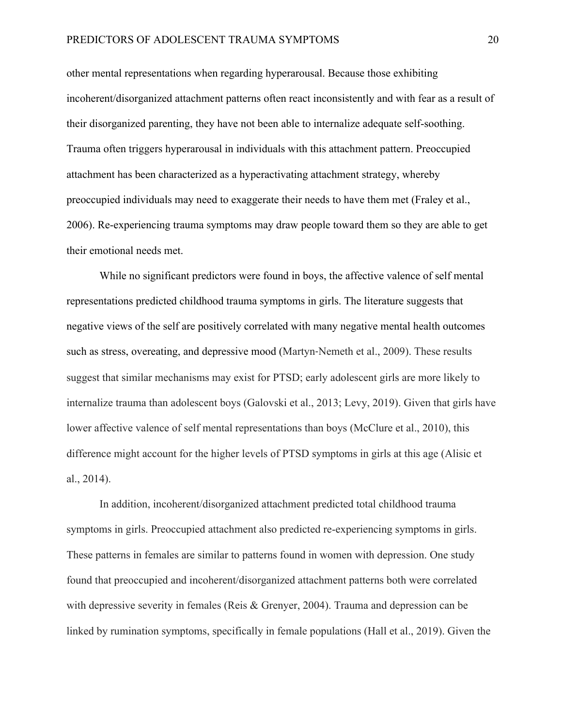other mental representations when regarding hyperarousal. Because those exhibiting incoherent/disorganized attachment patterns often react inconsistently and with fear as a result of their disorganized parenting, they have not been able to internalize adequate self-soothing. Trauma often triggers hyperarousal in individuals with this attachment pattern. Preoccupied attachment has been characterized as a hyperactivating attachment strategy, whereby preoccupied individuals may need to exaggerate their needs to have them met (Fraley et al., 2006). Re-experiencing trauma symptoms may draw people toward them so they are able to get their emotional needs met.

While no significant predictors were found in boys, the affective valence of self mental representations predicted childhood trauma symptoms in girls. The literature suggests that negative views of the self are positively correlated with many negative mental health outcomes such as stress, overeating, and depressive mood (Martyn‐Nemeth et al., 2009). These results suggest that similar mechanisms may exist for PTSD; early adolescent girls are more likely to internalize trauma than adolescent boys (Galovski et al., 2013; Levy, 2019). Given that girls have lower affective valence of self mental representations than boys (McClure et al., 2010), this difference might account for the higher levels of PTSD symptoms in girls at this age (Alisic et al., 2014).

In addition, incoherent/disorganized attachment predicted total childhood trauma symptoms in girls. Preoccupied attachment also predicted re-experiencing symptoms in girls. These patterns in females are similar to patterns found in women with depression. One study found that preoccupied and incoherent/disorganized attachment patterns both were correlated with depressive severity in females (Reis & Grenyer, 2004). Trauma and depression can be linked by rumination symptoms, specifically in female populations (Hall et al., 2019). Given the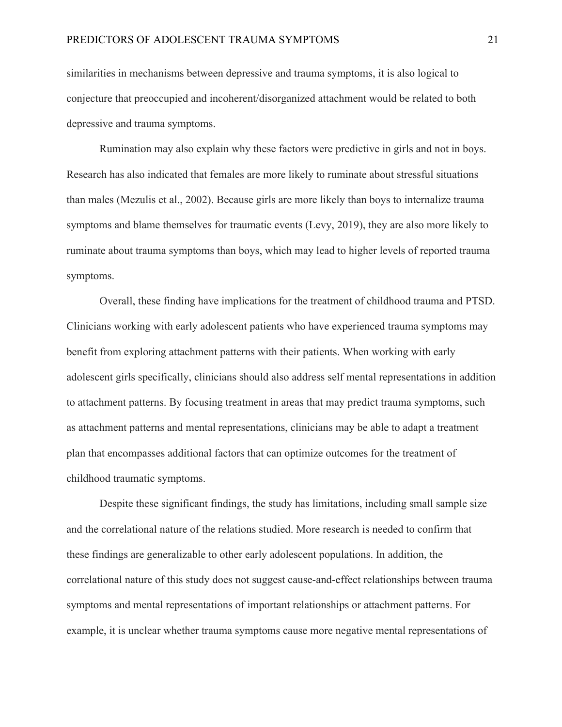similarities in mechanisms between depressive and trauma symptoms, it is also logical to conjecture that preoccupied and incoherent/disorganized attachment would be related to both depressive and trauma symptoms.

Rumination may also explain why these factors were predictive in girls and not in boys. Research has also indicated that females are more likely to ruminate about stressful situations than males (Mezulis et al., 2002). Because girls are more likely than boys to internalize trauma symptoms and blame themselves for traumatic events (Levy, 2019), they are also more likely to ruminate about trauma symptoms than boys, which may lead to higher levels of reported trauma symptoms.

Overall, these finding have implications for the treatment of childhood trauma and PTSD. Clinicians working with early adolescent patients who have experienced trauma symptoms may benefit from exploring attachment patterns with their patients. When working with early adolescent girls specifically, clinicians should also address self mental representations in addition to attachment patterns. By focusing treatment in areas that may predict trauma symptoms, such as attachment patterns and mental representations, clinicians may be able to adapt a treatment plan that encompasses additional factors that can optimize outcomes for the treatment of childhood traumatic symptoms.

Despite these significant findings, the study has limitations, including small sample size and the correlational nature of the relations studied. More research is needed to confirm that these findings are generalizable to other early adolescent populations. In addition, the correlational nature of this study does not suggest cause-and-effect relationships between trauma symptoms and mental representations of important relationships or attachment patterns. For example, it is unclear whether trauma symptoms cause more negative mental representations of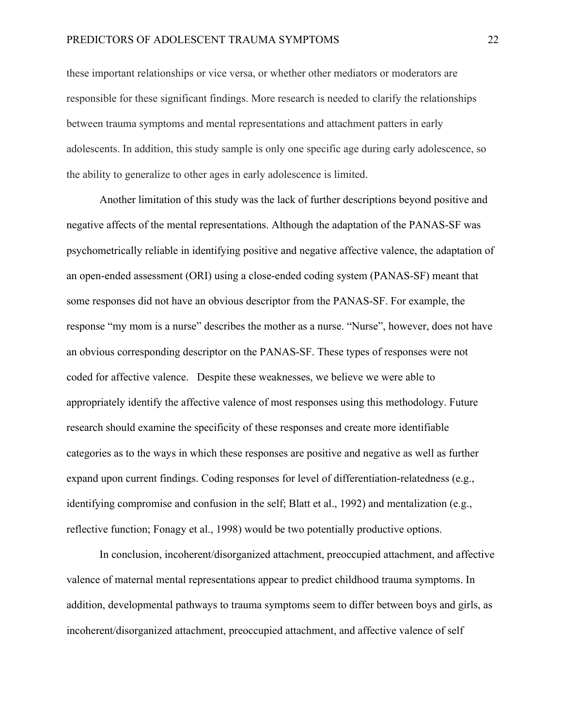these important relationships or vice versa, or whether other mediators or moderators are responsible for these significant findings. More research is needed to clarify the relationships between trauma symptoms and mental representations and attachment patters in early adolescents. In addition, this study sample is only one specific age during early adolescence, so the ability to generalize to other ages in early adolescence is limited.

Another limitation of this study was the lack of further descriptions beyond positive and negative affects of the mental representations. Although the adaptation of the PANAS-SF was psychometrically reliable in identifying positive and negative affective valence, the adaptation of an open-ended assessment (ORI) using a close-ended coding system (PANAS-SF) meant that some responses did not have an obvious descriptor from the PANAS-SF. For example, the response "my mom is a nurse" describes the mother as a nurse. "Nurse", however, does not have an obvious corresponding descriptor on the PANAS-SF. These types of responses were not coded for affective valence. Despite these weaknesses, we believe we were able to appropriately identify the affective valence of most responses using this methodology. Future research should examine the specificity of these responses and create more identifiable categories as to the ways in which these responses are positive and negative as well as further expand upon current findings. Coding responses for level of differentiation-relatedness (e.g., identifying compromise and confusion in the self; Blatt et al., 1992) and mentalization (e.g., reflective function; Fonagy et al., 1998) would be two potentially productive options.

In conclusion, incoherent/disorganized attachment, preoccupied attachment, and affective valence of maternal mental representations appear to predict childhood trauma symptoms. In addition, developmental pathways to trauma symptoms seem to differ between boys and girls, as incoherent/disorganized attachment, preoccupied attachment, and affective valence of self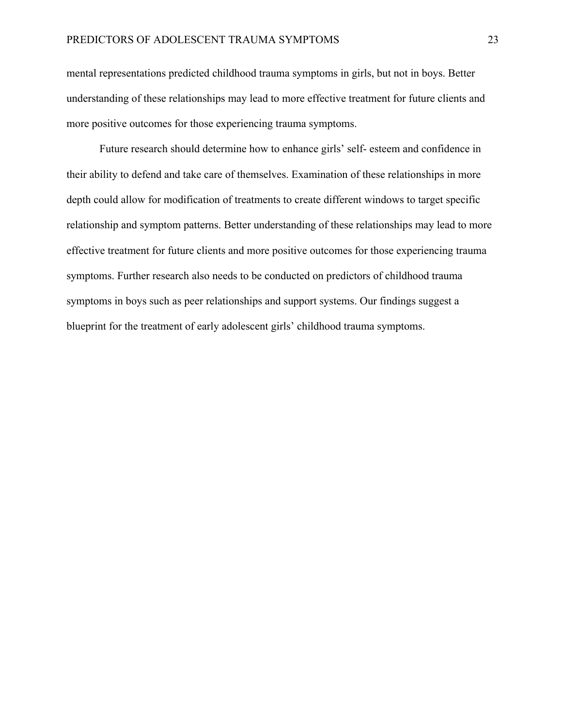mental representations predicted childhood trauma symptoms in girls, but not in boys. Better understanding of these relationships may lead to more effective treatment for future clients and more positive outcomes for those experiencing trauma symptoms.

Future research should determine how to enhance girls' self- esteem and confidence in their ability to defend and take care of themselves. Examination of these relationships in more depth could allow for modification of treatments to create different windows to target specific relationship and symptom patterns. Better understanding of these relationships may lead to more effective treatment for future clients and more positive outcomes for those experiencing trauma symptoms. Further research also needs to be conducted on predictors of childhood trauma symptoms in boys such as peer relationships and support systems. Our findings suggest a blueprint for the treatment of early adolescent girls' childhood trauma symptoms.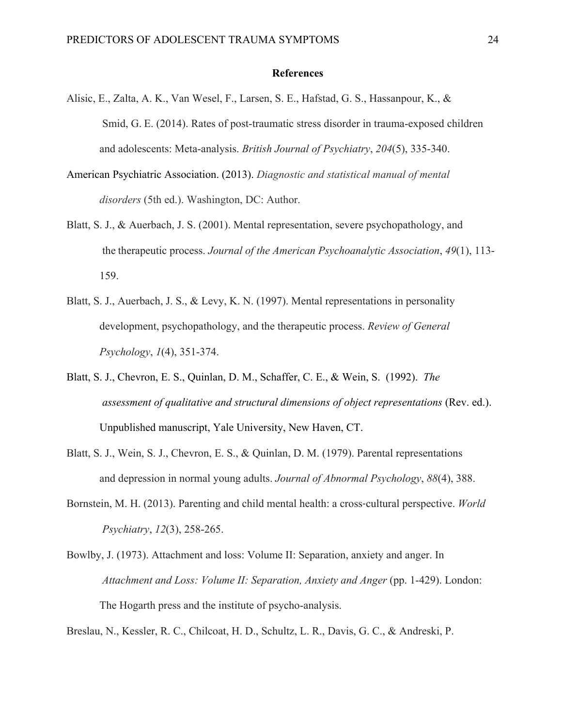#### **References**

- Alisic, E., Zalta, A. K., Van Wesel, F., Larsen, S. E., Hafstad, G. S., Hassanpour, K., & Smid, G. E. (2014). Rates of post-traumatic stress disorder in trauma-exposed children and adolescents: Meta-analysis. *British Journal of Psychiatry*, *204*(5), 335-340.
- American Psychiatric Association. (2013). *Diagnostic and statistical manual of mental disorders* (5th ed.). Washington, DC: Author.
- Blatt, S. J., & Auerbach, J. S. (2001). Mental representation, severe psychopathology, and the therapeutic process. *Journal of the American Psychoanalytic Association*, *49*(1), 113- 159.
- Blatt, S. J., Auerbach, J. S., & Levy, K. N. (1997). Mental representations in personality development, psychopathology, and the therapeutic process. *Review of General Psychology*, *1*(4), 351-374.
- Blatt, S. J., Chevron, E. S., Quinlan, D. M., Schaffer, C. E., & Wein, S. (1992). *The assessment of qualitative and structural dimensions of object representations* (Rev. ed.). Unpublished manuscript, Yale University, New Haven, CT.
- Blatt, S. J., Wein, S. J., Chevron, E. S., & Quinlan, D. M. (1979). Parental representations and depression in normal young adults. *Journal of Abnormal Psychology*, *88*(4), 388.
- Bornstein, M. H. (2013). Parenting and child mental health: a cross-cultural perspective. *World Psychiatry*, *12*(3), 258-265.
- Bowlby, J. (1973). Attachment and loss: Volume II: Separation, anxiety and anger. In *Attachment and Loss: Volume II: Separation, Anxiety and Anger* (pp. 1-429). London: The Hogarth press and the institute of psycho-analysis.

Breslau, N., Kessler, R. C., Chilcoat, H. D., Schultz, L. R., Davis, G. C., & Andreski, P.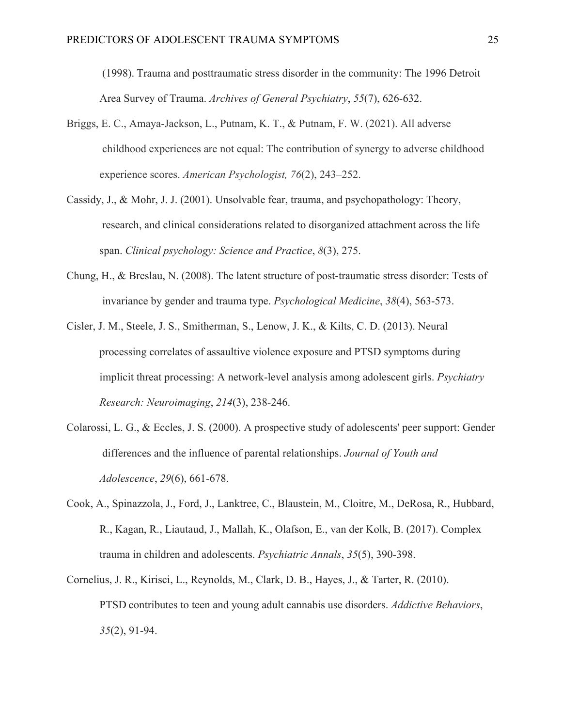(1998). Trauma and posttraumatic stress disorder in the community: The 1996 Detroit Area Survey of Trauma. *Archives of General Psychiatry*, *55*(7), 626-632.

- Briggs, E. C., Amaya-Jackson, L., Putnam, K. T., & Putnam, F. W. (2021). All adverse childhood experiences are not equal: The contribution of synergy to adverse childhood experience scores. *American Psychologist, 76*(2), 243–252.
- Cassidy, J., & Mohr, J. J. (2001). Unsolvable fear, trauma, and psychopathology: Theory, research, and clinical considerations related to disorganized attachment across the life span. *Clinical psychology: Science and Practice*, *8*(3), 275.
- Chung, H., & Breslau, N. (2008). The latent structure of post-traumatic stress disorder: Tests of invariance by gender and trauma type. *Psychological Medicine*, *38*(4), 563-573.
- Cisler, J. M., Steele, J. S., Smitherman, S., Lenow, J. K., & Kilts, C. D. (2013). Neural processing correlates of assaultive violence exposure and PTSD symptoms during implicit threat processing: A network-level analysis among adolescent girls. *Psychiatry Research: Neuroimaging*, *214*(3), 238-246.
- Colarossi, L. G., & Eccles, J. S. (2000). A prospective study of adolescents' peer support: Gender differences and the influence of parental relationships. *Journal of Youth and Adolescence*, *29*(6), 661-678.
- Cook, A., Spinazzola, J., Ford, J., Lanktree, C., Blaustein, M., Cloitre, M., DeRosa, R., Hubbard, R., Kagan, R., Liautaud, J., Mallah, K., Olafson, E., van der Kolk, B. (2017). Complex trauma in children and adolescents. *Psychiatric Annals*, *35*(5), 390-398.
- Cornelius, J. R., Kirisci, L., Reynolds, M., Clark, D. B., Hayes, J., & Tarter, R. (2010). PTSD contributes to teen and young adult cannabis use disorders. *Addictive Behaviors*, *35*(2), 91-94.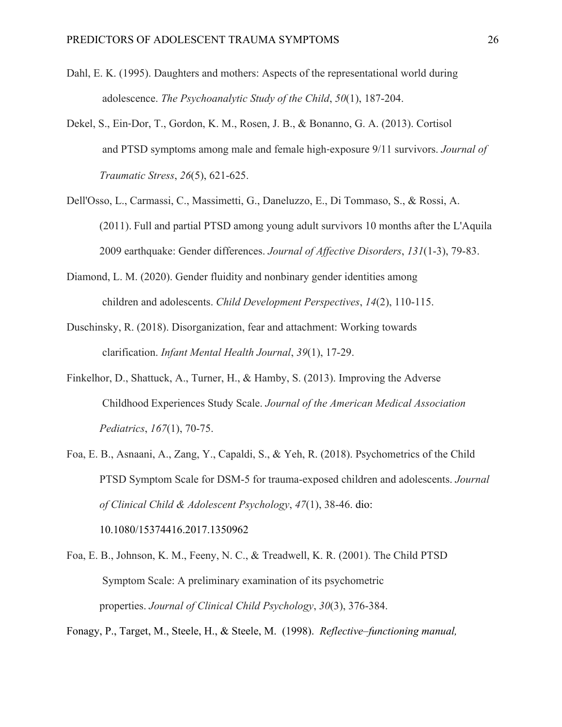- Dahl, E. K. (1995). Daughters and mothers: Aspects of the representational world during adolescence. *The Psychoanalytic Study of the Child*, *50*(1), 187-204.
- Dekel, S., Ein‐Dor, T., Gordon, K. M., Rosen, J. B., & Bonanno, G. A. (2013). Cortisol and PTSD symptoms among male and female high‐exposure 9/11 survivors. *Journal of Traumatic Stress*, *26*(5), 621-625.
- Dell'Osso, L., Carmassi, C., Massimetti, G., Daneluzzo, E., Di Tommaso, S., & Rossi, A. (2011). Full and partial PTSD among young adult survivors 10 months after the L'Aquila 2009 earthquake: Gender differences. *Journal of Affective Disorders*, *131*(1-3), 79-83.
- Diamond, L. M. (2020). Gender fluidity and nonbinary gender identities among children and adolescents. *Child Development Perspectives*, *14*(2), 110-115.
- Duschinsky, R. (2018). Disorganization, fear and attachment: Working towards clarification. *Infant Mental Health Journal*, *39*(1), 17-29.
- Finkelhor, D., Shattuck, A., Turner, H., & Hamby, S. (2013). Improving the Adverse Childhood Experiences Study Scale. *Journal of the American Medical Association Pediatrics*, *167*(1), 70-75.
- Foa, E. B., Asnaani, A., Zang, Y., Capaldi, S., & Yeh, R. (2018). Psychometrics of the Child PTSD Symptom Scale for DSM-5 for trauma-exposed children and adolescents. *Journal of Clinical Child & Adolescent Psychology*, *47*(1), 38-46. dio:

10.1080/15374416.2017.1350962

Foa, E. B., Johnson, K. M., Feeny, N. C., & Treadwell, K. R. (2001). The Child PTSD Symptom Scale: A preliminary examination of its psychometric properties. *Journal of Clinical Child Psychology*, *30*(3), 376-384.

Fonagy, P., Target, M., Steele, H., & Steele, M. (1998). *Reflective–functioning manual,*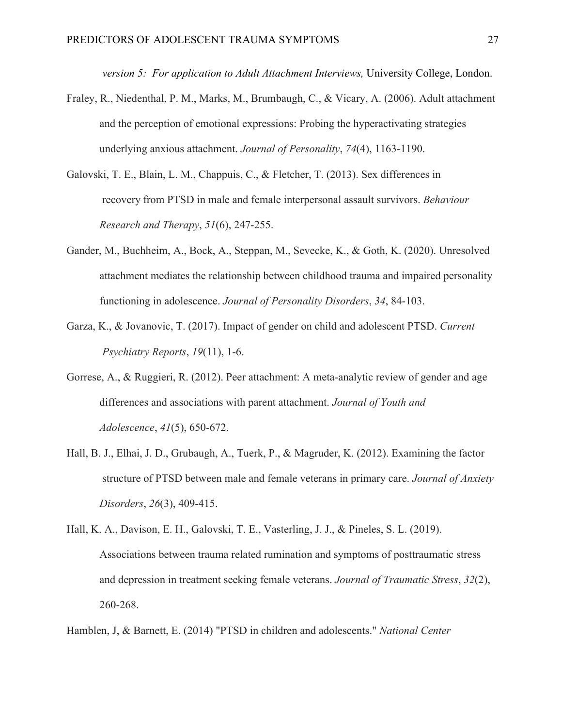*version 5: For application to Adult Attachment Interviews,* University College, London.

- Fraley, R., Niedenthal, P. M., Marks, M., Brumbaugh, C., & Vicary, A. (2006). Adult attachment and the perception of emotional expressions: Probing the hyperactivating strategies underlying anxious attachment. *Journal of Personality*, *74*(4), 1163-1190.
- Galovski, T. E., Blain, L. M., Chappuis, C., & Fletcher, T. (2013). Sex differences in recovery from PTSD in male and female interpersonal assault survivors. *Behaviour Research and Therapy*, *51*(6), 247-255.
- Gander, M., Buchheim, A., Bock, A., Steppan, M., Sevecke, K., & Goth, K. (2020). Unresolved attachment mediates the relationship between childhood trauma and impaired personality functioning in adolescence. *Journal of Personality Disorders*, *34*, 84-103.
- Garza, K., & Jovanovic, T. (2017). Impact of gender on child and adolescent PTSD. *Current Psychiatry Reports*, *19*(11), 1-6.
- Gorrese, A., & Ruggieri, R. (2012). Peer attachment: A meta-analytic review of gender and age differences and associations with parent attachment. *Journal of Youth and Adolescence*, *41*(5), 650-672.
- Hall, B. J., Elhai, J. D., Grubaugh, A., Tuerk, P., & Magruder, K. (2012). Examining the factor structure of PTSD between male and female veterans in primary care. *Journal of Anxiety Disorders*, *26*(3), 409-415.
- Hall, K. A., Davison, E. H., Galovski, T. E., Vasterling, J. J., & Pineles, S. L. (2019). Associations between trauma related rumination and symptoms of posttraumatic stress and depression in treatment seeking female veterans. *Journal of Traumatic Stress*, *32*(2), 260-268.

Hamblen, J, & Barnett, E. (2014) "PTSD in children and adolescents." *National Center*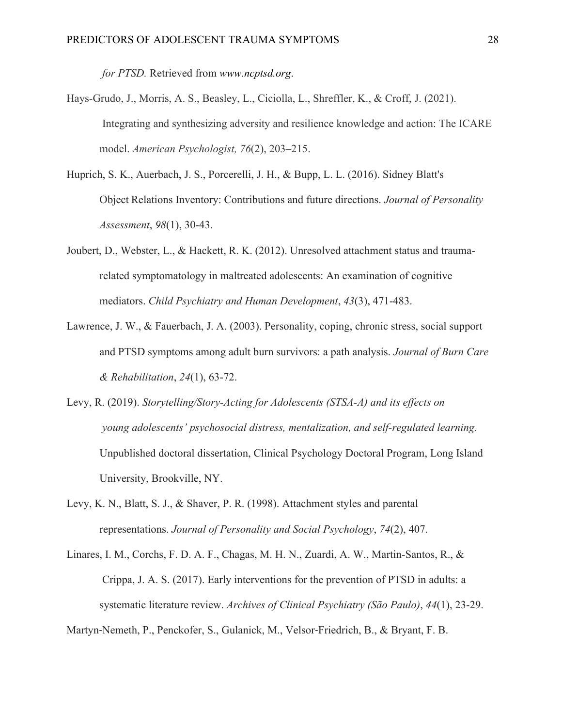*for PTSD.* Retrieved from *www.ncptsd.org*.

- Hays-Grudo, J., Morris, A. S., Beasley, L., Ciciolla, L., Shreffler, K., & Croff, J. (2021). Integrating and synthesizing adversity and resilience knowledge and action: The ICARE model. *American Psychologist, 76*(2), 203–215.
- Huprich, S. K., Auerbach, J. S., Porcerelli, J. H., & Bupp, L. L. (2016). Sidney Blatt's Object Relations Inventory: Contributions and future directions. *Journal of Personality Assessment*, *98*(1), 30-43.
- Joubert, D., Webster, L., & Hackett, R. K. (2012). Unresolved attachment status and traumarelated symptomatology in maltreated adolescents: An examination of cognitive mediators. *Child Psychiatry and Human Development*, *43*(3), 471-483.
- Lawrence, J. W., & Fauerbach, J. A. (2003). Personality, coping, chronic stress, social support and PTSD symptoms among adult burn survivors: a path analysis. *Journal of Burn Care & Rehabilitation*, *24*(1), 63-72.
- Levy, R. (2019). *Storytelling/Story-Acting for Adolescents (STSA-A) and its effects on young adolescents' psychosocial distress, mentalization, and self-regulated learning.* Unpublished doctoral dissertation, Clinical Psychology Doctoral Program, Long Island University, Brookville, NY.
- Levy, K. N., Blatt, S. J., & Shaver, P. R. (1998). Attachment styles and parental representations. *Journal of Personality and Social Psychology*, *74*(2), 407.
- Linares, I. M., Corchs, F. D. A. F., Chagas, M. H. N., Zuardi, A. W., Martin-Santos, R., & Crippa, J. A. S. (2017). Early interventions for the prevention of PTSD in adults: a systematic literature review. *Archives of Clinical Psychiatry (São Paulo)*, *44*(1), 23-29.

Martyn‐Nemeth, P., Penckofer, S., Gulanick, M., Velsor‐Friedrich, B., & Bryant, F. B.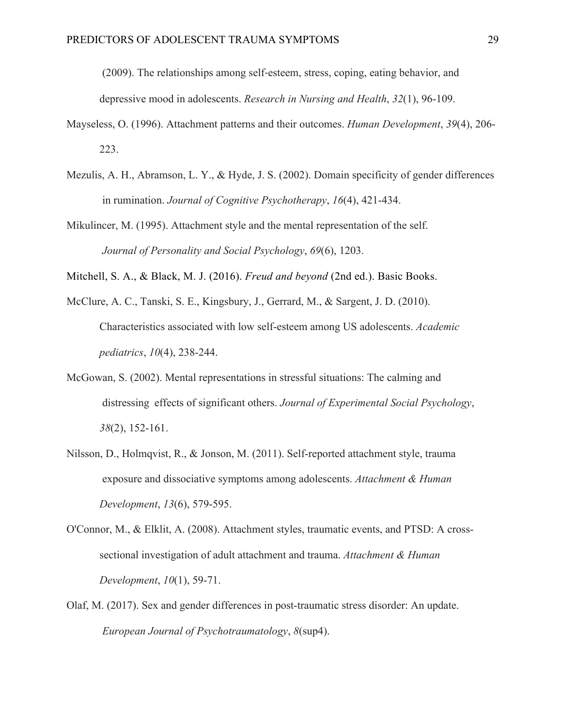(2009). The relationships among self‐esteem, stress, coping, eating behavior, and depressive mood in adolescents. *Research in Nursing and Health*, *32*(1), 96-109.

- Mayseless, O. (1996). Attachment patterns and their outcomes. *Human Development*, *39*(4), 206- 223.
- Mezulis, A. H., Abramson, L. Y., & Hyde, J. S. (2002). Domain specificity of gender differences in rumination. *Journal of Cognitive Psychotherapy*, *16*(4), 421-434.
- Mikulincer, M. (1995). Attachment style and the mental representation of the self. *Journal of Personality and Social Psychology*, *69*(6), 1203.
- Mitchell, S. A., & Black, M. J. (2016). *Freud and beyond* (2nd ed.). Basic Books.
- McClure, A. C., Tanski, S. E., Kingsbury, J., Gerrard, M., & Sargent, J. D. (2010). Characteristics associated with low self-esteem among US adolescents. *Academic pediatrics*, *10*(4), 238-244.
- McGowan, S. (2002). Mental representations in stressful situations: The calming and distressing effects of significant others. *Journal of Experimental Social Psychology*, *38*(2), 152-161.
- Nilsson, D., Holmqvist, R., & Jonson, M. (2011). Self-reported attachment style, trauma exposure and dissociative symptoms among adolescents. *Attachment & Human Development*, *13*(6), 579-595.
- O'Connor, M., & Elklit, A. (2008). Attachment styles, traumatic events, and PTSD: A crosssectional investigation of adult attachment and trauma. *Attachment & Human Development*, *10*(1), 59-71.
- Olaf, M. (2017). Sex and gender differences in post-traumatic stress disorder: An update. *European Journal of Psychotraumatology*, *8*(sup4).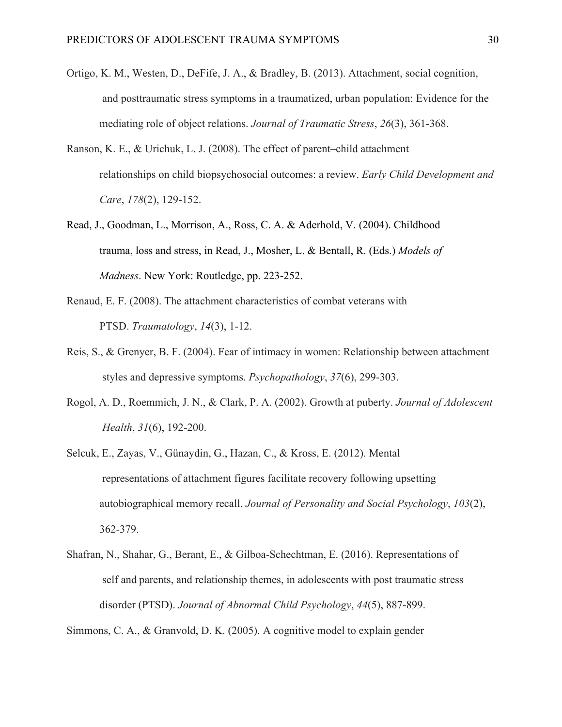- Ortigo, K. M., Westen, D., DeFife, J. A., & Bradley, B. (2013). Attachment, social cognition, and posttraumatic stress symptoms in a traumatized, urban population: Evidence for the mediating role of object relations. *Journal of Traumatic Stress*, *26*(3), 361-368.
- Ranson, K. E., & Urichuk, L. J. (2008). The effect of parent–child attachment relationships on child biopsychosocial outcomes: a review. *Early Child Development and Care*, *178*(2), 129-152.
- Read, J., Goodman, L., Morrison, A., Ross, C. A. & Aderhold, V. (2004). Childhood trauma, loss and stress, in Read, J., Mosher, L. & Bentall, R. (Eds.) *Models of Madness*. New York: Routledge, pp. 223-252.
- Renaud, E. F. (2008). The attachment characteristics of combat veterans with PTSD. *Traumatology*, *14*(3), 1-12.
- Reis, S., & Grenyer, B. F. (2004). Fear of intimacy in women: Relationship between attachment styles and depressive symptoms. *Psychopathology*, *37*(6), 299-303.
- Rogol, A. D., Roemmich, J. N., & Clark, P. A. (2002). Growth at puberty. *Journal of Adolescent Health*, *31*(6), 192-200.
- Selcuk, E., Zayas, V., Günaydin, G., Hazan, C., & Kross, E. (2012). Mental representations of attachment figures facilitate recovery following upsetting autobiographical memory recall. *Journal of Personality and Social Psychology*, *103*(2), 362-379.
- Shafran, N., Shahar, G., Berant, E., & Gilboa-Schechtman, E. (2016). Representations of self and parents, and relationship themes, in adolescents with post traumatic stress disorder (PTSD). *Journal of Abnormal Child Psychology*, *44*(5), 887-899.

Simmons, C. A., & Granvold, D. K. (2005). A cognitive model to explain gender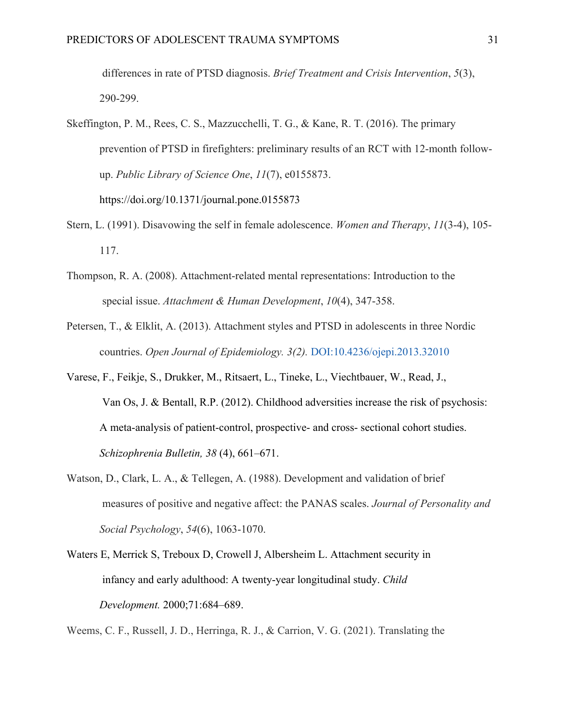differences in rate of PTSD diagnosis. *Brief Treatment and Crisis Intervention*, *5*(3), 290-299.

- Skeffington, P. M., Rees, C. S., Mazzucchelli, T. G., & Kane, R. T. (2016). The primary prevention of PTSD in firefighters: preliminary results of an RCT with 12-month followup. *Public Library of Science One*, *11*(7), e0155873. https://doi.org/10.1371/journal.pone.0155873
- Stern, L. (1991). Disavowing the self in female adolescence. *Women and Therapy*, *11*(3-4), 105- 117.
- Thompson, R. A. (2008). Attachment-related mental representations: Introduction to the special issue. *Attachment & Human Development*, *10*(4), 347-358.
- Petersen, T., & Elklit, A. (2013). Attachment styles and PTSD in adolescents in three Nordic countries. *Open Journal of Epidemiology. 3(2).* DOI:10.4236/ojepi.2013.32010
- Varese, F., Feikje, S., Drukker, M., Ritsaert, L., Tineke, L., Viechtbauer, W., Read, J., Van Os, J. & Bentall, R.P. (2012). Childhood adversities increase the risk of psychosis: A meta-analysis of patient-control, prospective- and cross- sectional cohort studies. *Schizophrenia Bulletin, 38* (4), 661–671.
- Watson, D., Clark, L. A., & Tellegen, A. (1988). Development and validation of brief measures of positive and negative affect: the PANAS scales. *Journal of Personality and Social Psychology*, *54*(6), 1063-1070.
- Waters E, Merrick S, Treboux D, Crowell J, Albersheim L. Attachment security in infancy and early adulthood: A twenty-year longitudinal study. *Child Development.* 2000;71:684–689.

Weems, C. F., Russell, J. D., Herringa, R. J., & Carrion, V. G. (2021). Translating the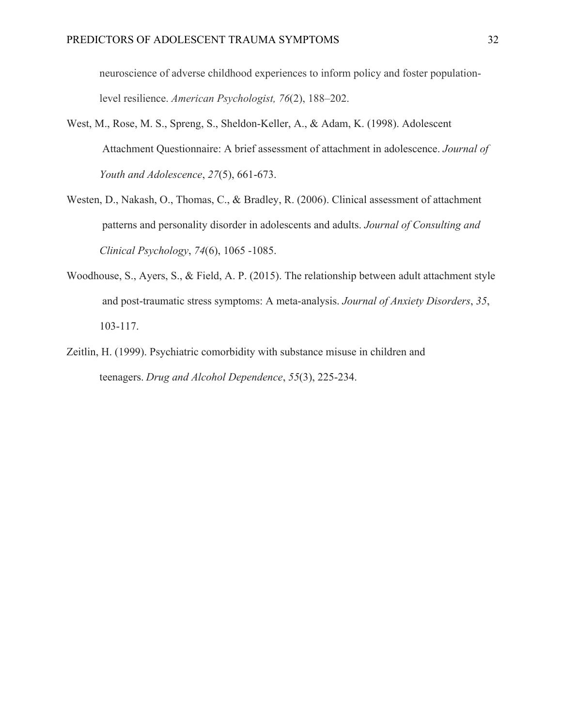neuroscience of adverse childhood experiences to inform policy and foster populationlevel resilience. *American Psychologist, 76*(2), 188–202.

- West, M., Rose, M. S., Spreng, S., Sheldon-Keller, A., & Adam, K. (1998). Adolescent Attachment Questionnaire: A brief assessment of attachment in adolescence. *Journal of Youth and Adolescence*, *27*(5), 661-673.
- Westen, D., Nakash, O., Thomas, C., & Bradley, R. (2006). Clinical assessment of attachment patterns and personality disorder in adolescents and adults. *Journal of Consulting and Clinical Psychology*, *74*(6), 1065 -1085.
- Woodhouse, S., Ayers, S., & Field, A. P. (2015). The relationship between adult attachment style and post-traumatic stress symptoms: A meta-analysis. *Journal of Anxiety Disorders*, *35*, 103-117.
- Zeitlin, H. (1999). Psychiatric comorbidity with substance misuse in children and teenagers. *Drug and Alcohol Dependence*, *55*(3), 225-234.